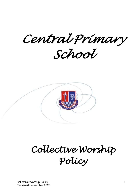*Central Primary* 

*School* 



# *Collective Worship Policy*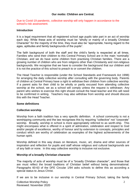## **Our motto: Children are Central.**

Due to Covid-19 pandemic, collective worship will only happen in accordance to the school's risk assessment.

## **Introduction**

It is a legal requirement that all registered school age pupils take part in an act of worship each day. While these acts of worship must be "wholly or mainly of a broadly Christian Character" for the majority of the time, they must also be "appropriate, having regard to the ages, aptitudes and family backgrounds of the pupils".

The faith background of both the staff and the child's family is respected at all times. Families who send their children to this Central Primary School are in the main 'nominally' Christian, and we do have some children from practising Christian families. There are a growing number of children who are from religions other than Christianity and non-religious backgrounds. We recognise that we have to consider the background that our children and it is not the practice of this school to preach to or convert the children.

The Head Teacher is responsible (under the School Standards and Framework Act 1998) for arranging the daily collective worship after consulting with the governing body. Parents of children at Central Primary have a right to withdraw their children from collective worship. If a parent asks for their child to be wholly or partly excused from attending collective worship at the school, we as a school will comply unless the request is withdrawn. Any parent who wishes to exercise this right should consult the head teacher and this will need to be confirmed in writing. Teachers may also withdraw from worship and should discuss this with the Head Teacher.

## **Some definitions**

## **Collective worship**

Worship from a faith tradition has a very specific definition. A school community is not a worshipping community and the law recognises this by requiring "collective" not "corporate" worship. Broadly, worship in school is more appropriately referred to as worth-ship. This might encompass what is offered in a spirit of admiration, celebration and respect to God and/or people of excellence, worthy of honour and by extension to concepts, principles and conduct which are worthy of celebration as examples of the highest achievements of the human spirit.

Worship defined in this way draws on literature, music, art, drama and other sources of inspiration and reflection for pupils and staff whose religious and cultural backgrounds are of any faith or none. In this way collective worship is inclusive not exclusive.

### **Worship of a broadly Christian character**

The majority of acts of worship must be of a "broadly Christian character", and those that are must reflect the broad traditions of Christian belief without being denominational. Paragraphs 60-63 of the DFE Circular 1/94 asks schools to define this as according a special status to Jesus Christ.

If we are to be inclusive in our worship in Central Primary School, taking the family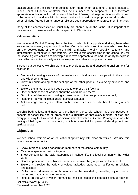backgrounds of the children into consideration, then, when according a special status to Jesus Christ, all pupils, whatever their beliefs, need to be respected. It is therefore appropriate in this school to tell stories of the life of Jesus, but inappropriate for all children to be required to address Him in prayer; just as it would be appropriate to tell stories of other religious figures from a range of religions but inappropriate to address them in prayer.

Many of the characteristics of Christianity are shared by all the faiths. It is important to concentrate on these as well as those specific to Christianity.

## **Values and Aims**

We believe at Central Primary that collective worship both supports and strengthens what we aim to do in every aspect of school life. Our caring ethos and the value which we place on the development of the whole child; spiritually, morally, socially, culturally and intellectually, is reflected in our worship. We value this special time in the school day for the space it gives children to develop a reflective approach to life and the ability to express their reflections in traditionally religious ways or any other appropriate manner.

Through our collective worship we aim to provide a caring and supporting environment for children to:

- Become increasingly aware of themselves as individuals and groups within the school and wider community;
- Grow in understanding of the feelings of the other people in everyday situations and beliefs;
- Explore the language which people use to express their feelings;
- Deepen their sense of wonder about the world around them;
- Grow in confidence when making a presentation to the group or whole school;
- Respond freely to religious and/or spiritual stimulus:
- Acknowledge diversity and affirm each person's life stance, whether it be religious or not.

Worship both reflects and nurtures the ethos of the whole school. It encompasses all aspects of school life and all areas of the curriculum so that every member of staff and every pupil may feel involved. In particular school worship at Central Primary develops the feeling of belonging to a community which is essential for personal development and spiritual growth.

# **Objectives**

We see school worship as an educational opportunity with clear objectives. We use this time to encourage pupils to:

- Show interest in, and a concern for, members of the school community;
- Celebrate special occasions together;
- Show concern for the daily happenings in school life, the local community, the wider world;
- Share appreciation of worthwhile projects undertaken by groups within the school;
- Explore and review the variety of values, attitudes, standards, manifested in religions and society;
- Reflect upon dimensions of human life  $-$  the wonderful, beautiful, joyful, heroic, humorous, tragic, sorrowful, solemn;
- Reflect on the way in which humankind has expressed the deepest spiritual feelings,

Collective Worship Policy Reviewed: November 2020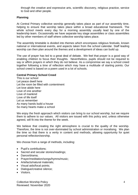through the creative and expressive arts, scientific discovery, religious practice, service to God and other people.

## **Planning**

At Central Primary collective worship generally takes place as part of our assembly time, helping to ensure that worship takes place within a broad educational framework. The whole school meets every day for a morning assembly usually lead by one of the leadership team. Occasionally we have separate key stage assemblies or class assemblies led by other members of staff where collective worship takes place.

The assembly timetable is divided into themes which encompass religious festivals, known national or international events, and aspects taken from the school calendar. Staff leading worship can then plan around the themes and a development of ideas can build up.

The use of prayer has led to a great deal of debate. We feel that prayer is a good way of enabling children to focus their thoughts. Nevertheless, pupils should not be required to say or affirm prayers in which they do not believe. As a compromise we say a school creed together following a time of reflection which may have a multitude of starting points. Our school creed is based on a poem used in a lot of schools.

## **Central Primary School Creed**

This is our school Let peace dwell here Let the room be filled with contentment Let love abide here Love of one another Love of mankind Love of life itself Let us remember As many hands build a house So many hearts make a school

We enjoy the fresh approach which visitors can bring to our school worship, but we require them to adhere to our values. All visitors are issued with this policy and, unless otherwise agreed, will fit into the theme for the week.

We believe that creating the right atmosphere is crucial to the quality of the worship. Therefore, the time is not over-dominated by school administration or moralising. We plan the time so that there is a verity in content and methods, allowing opportunity for quiet personal reflection/worship.

We choose from a range of methods, including:

- Pupil's contributions;
- Sacred and secular stories/readings:
- Dance/drama;
- Prayer/meditation/songs/hymns/music:
- Artefacts/natural materials;
- Visual aids/focal points;
- Dialogue/creative silence;
- Visitors.